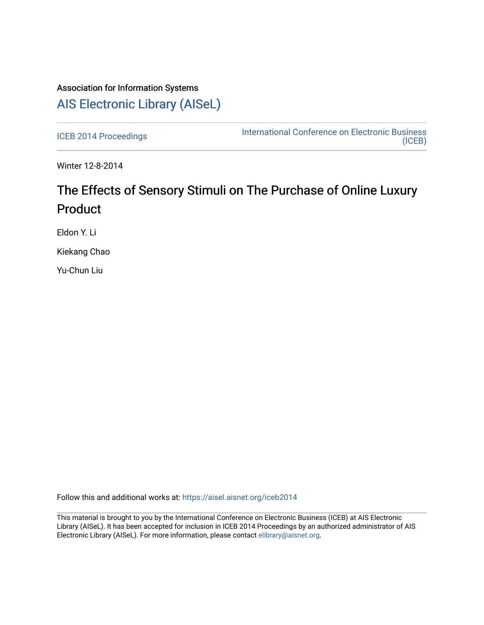## Association for Information Systems [AIS Electronic Library \(AISeL\)](https://aisel.aisnet.org/)

[ICEB 2014 Proceedings](https://aisel.aisnet.org/iceb2014) **International Conference on Electronic Business** [\(ICEB\)](https://aisel.aisnet.org/iceb) 

Winter 12-8-2014

## The Effects of Sensory Stimuli on The Purchase of Online Luxury Product

Eldon Y. Li

Kiekang Chao

Yu-Chun Liu

Follow this and additional works at: [https://aisel.aisnet.org/iceb2014](https://aisel.aisnet.org/iceb2014?utm_source=aisel.aisnet.org%2Ficeb2014%2F16&utm_medium=PDF&utm_campaign=PDFCoverPages)

This material is brought to you by the International Conference on Electronic Business (ICEB) at AIS Electronic Library (AISeL). It has been accepted for inclusion in ICEB 2014 Proceedings by an authorized administrator of AIS Electronic Library (AISeL). For more information, please contact [elibrary@aisnet.org.](mailto:elibrary@aisnet.org%3E)